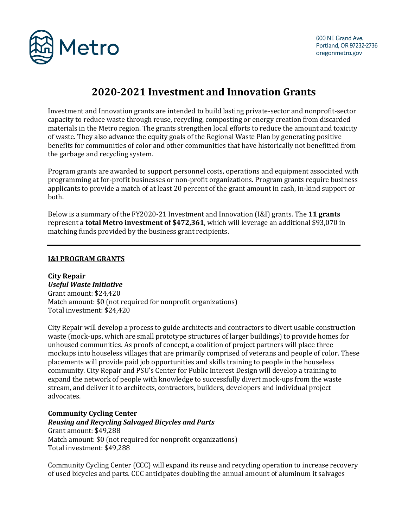

# **2020-2021 Investment and Innovation Grants**

Investment and Innovation grants are intended to build lasting private-sector and nonprofit-sector capacity to reduce waste through reuse, recycling, composting or energy creation from discarded materials in the Metro region. The grants strengthen local efforts to reduce the amount and toxicity of waste. They also advance the equity goals of the Regional Waste Plan by generating positive benefits for communities of color and other communities that have historically not benefitted from the garbage and recycling system.

Program grants are awarded to support personnel costs, operations and equipment associated with programming at for-profit businesses or non-profit organizations. Program grants require business applicants to provide a match of at least 20 percent of the grant amount in cash, in-kind support or both.

Below is a summary of the FY2020-21 Investment and Innovation (I&I) grants. The **11 grants** represent a **total Metro investment of \$472,361**, which will leverage an additional \$93,070 in matching funds provided by the business grant recipients.

### **I&I PROGRAM GRANTS**

**City Repair** *Useful Waste Initiative* Grant amount: \$24,420 Match amount: \$0 (not required for nonprofit organizations) Total investment: \$24,420

City Repair will develop a process to guide architects and contractors to divert usable construction waste (mock-ups, which are small prototype structures of larger buildings) to provide homes for unhoused communities. As proofs of concept, a coalition of project partners will place three mockups into houseless villages that are primarily comprised of veterans and people of color. These placements will provide paid job opportunities and skills training to people in the houseless community. City Repair and PSU's Center for Public Interest Design will develop a training to expand the network of people with knowledge to successfully divert mock-ups from the waste stream, and deliver it to architects, contractors, builders, developers and individual project advocates.

### **Community Cycling Center**

*Reusing and Recycling Salvaged Bicycles and Parts*  Grant amount: \$49,288 Match amount: \$0 (not required for nonprofit organizations) Total investment: \$49,288

Community Cycling Center (CCC) will expand its reuse and recycling operation to increase recovery of used bicycles and parts. CCC anticipates doubling the annual amount of aluminum it salvages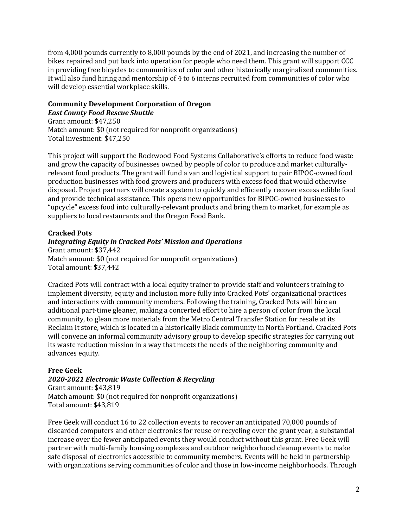from 4,000 pounds currently to 8,000 pounds by the end of 2021, and increasing the number of bikes repaired and put back into operation for people who need them. This grant will support CCC in providing free bicycles to communities of color and other historically marginalized communities. It will also fund hiring and mentorship of 4 to 6 interns recruited from communities of color who will develop essential workplace skills.

# **Community Development Corporation of Oregon**  *East County Food Rescue Shuttle*

Grant amount: \$47,250 Match amount: \$0 (not required for nonprofit organizations) Total investment: \$47,250

This project will support the Rockwood Food Systems Collaborative's efforts to reduce food waste and grow the capacity of businesses owned by people of color to produce and market culturallyrelevant food products. The grant will fund a van and logistical support to pair BIPOC-owned food production businesses with food growers and producers with excess food that would otherwise disposed. Project partners will create a system to quickly and efficiently recover excess edible food and provide technical assistance. This opens new opportunities for BIPOC-owned businesses to "upcycle" excess food into culturally-relevant products and bring them to market, for example as suppliers to local restaurants and the Oregon Food Bank.

## **Cracked Pots**

## *Integrating Equity in Cracked Pots' Mission and Operations*

Grant amount: \$37,442 Match amount: \$0 (not required for nonprofit organizations) Total amount: \$37,442

Cracked Pots will contract with a local equity trainer to provide staff and volunteers training to implement diversity, equity and inclusion more fully into Cracked Pots' organizational practices and interactions with community members. Following the training, Cracked Pots will hire an additional part-time gleaner, making a concerted effort to hire a person of color from the local community, to glean more materials from the Metro Central Transfer Station for resale at its Reclaim It store, which is located in a historically Black community in North Portland. Cracked Pots will convene an informal community advisory group to develop specific strategies for carrying out its waste reduction mission in a way that meets the needs of the neighboring community and advances equity.

# **Free Geek**

# *2020-2021 Electronic Waste Collection & Recycling*

Grant amount: \$43,819 Match amount: \$0 (not required for nonprofit organizations) Total amount: \$43,819

Free Geek will conduct 16 to 22 collection events to recover an anticipated 70,000 pounds of discarded computers and other electronics for reuse or recycling over the grant year, a substantial increase over the fewer anticipated events they would conduct without this grant. Free Geek will partner with multi-family housing complexes and outdoor neighborhood cleanup events to make safe disposal of electronics accessible to community members. Events will be held in partnership with organizations serving communities of color and those in low-income neighborhoods. Through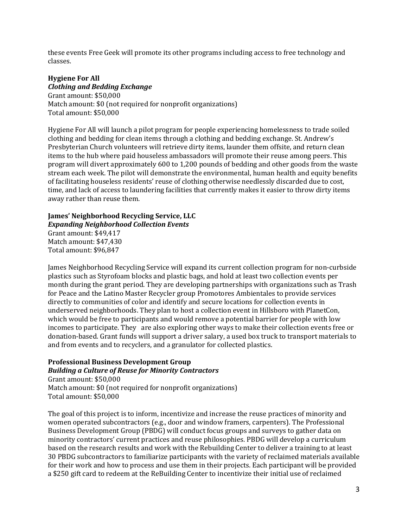these events Free Geek will promote its other programs including access to free technology and classes.

# **Hygiene For All**

*Clothing and Bedding Exchange* Grant amount: \$50,000 Match amount: \$0 (not required for nonprofit organizations) Total amount: \$50,000

Hygiene For All will launch a pilot program for people experiencing homelessness to trade soiled clothing and bedding for clean items through a clothing and bedding exchange. St. Andrew's Presbyterian Church volunteers will retrieve dirty items, launder them offsite, and return clean items to the hub where paid houseless ambassadors will promote their reuse among peers. This program will divert approximately 600 to 1,200 pounds of bedding and other goods from the waste stream each week. The pilot will demonstrate the environmental, human health and equity benefits of facilitating houseless residents' reuse of clothing otherwise needlessly discarded due to cost, time, and lack of access to laundering facilities that currently makes it easier to throw dirty items away rather than reuse them.

# **James' Neighborhood Recycling Service, LLC**

*Expanding Neighborhood Collection Events*

Grant amount: \$49,417 Match amount: \$47,430 Total amount: \$96,847

James Neighborhood Recycling Service will expand its current collection program for non-curbside plastics such as Styrofoam blocks and plastic bags, and hold at least two collection events per month during the grant period. They are developing partnerships with organizations such as Trash for Peace and the Latino Master Recycler group Promotores Ambientales to provide services directly to communities of color and identify and secure locations for collection events in underserved neighborhoods. They plan to host a collection event in Hillsboro with PlanetCon, which would be free to participants and would remove a potential barrier for people with low incomes to participate. They are also exploring other ways to make their collection events free or donation-based. Grant funds will support a driver salary, a used box truck to transport materials to and from events and to recyclers, and a granulator for collected plastics.

# **Professional Business Development Group**  *Building a Culture of Reuse for Minority Contractors*

Grant amount: \$50,000 Match amount: \$0 (not required for nonprofit organizations) Total amount: \$50,000

The goal of this project is to inform, incentivize and increase the reuse practices of minority and women operated subcontractors (e.g., door and window framers, carpenters). The Professional Business Development Group (PBDG) will conduct focus groups and surveys to gather data on minority contractors' current practices and reuse philosophies. PBDG will develop a curriculum based on the research results and work with the Rebuilding Center to deliver a training to at least 30 PBDG subcontractors to familiarize participants with the variety of reclaimed materials available for their work and how to process and use them in their projects. Each participant will be provided a \$250 gift card to redeem at the ReBuilding Center to incentivize their initial use of reclaimed